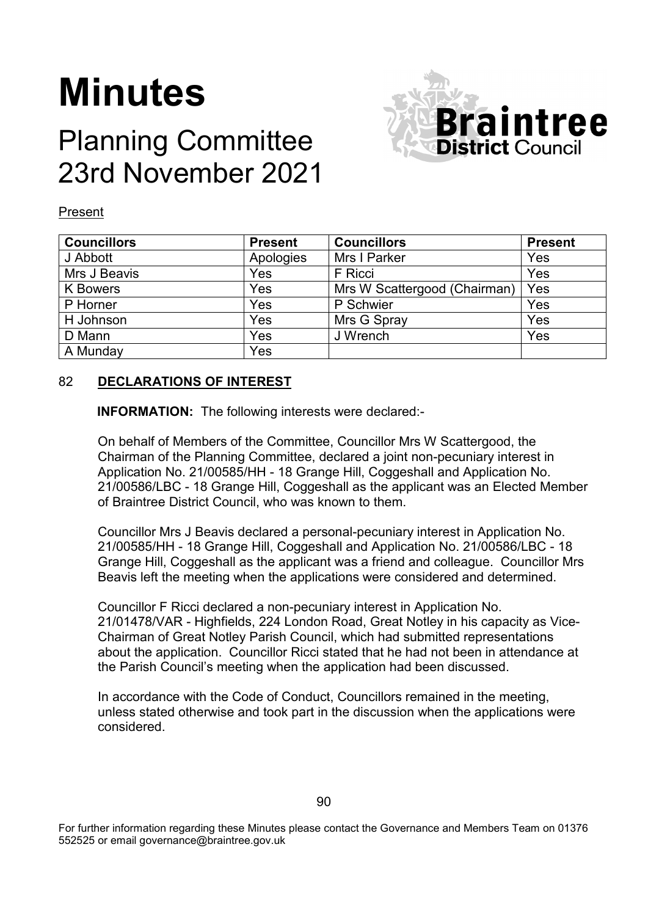# **Minutes**

# Planning Committee 23rd November 2021



#### Present

| <b>Councillors</b> | <b>Present</b> | <b>Councillors</b>           | <b>Present</b> |
|--------------------|----------------|------------------------------|----------------|
| J Abbott           | Apologies      | Mrs I Parker                 | Yes            |
| Mrs J Beavis       | Yes            | F Ricci                      | Yes            |
| K Bowers           | Yes            | Mrs W Scattergood (Chairman) | Yes            |
| P Horner           | Yes            | P Schwier                    | Yes            |
| H Johnson          | Yes            | Mrs G Spray                  | Yes            |
| D Mann             | Yes            | J Wrench                     | Yes            |
| A Munday           | Yes            |                              |                |

#### 82 **DECLARATIONS OF INTEREST**

**INFORMATION:** The following interests were declared:-

On behalf of Members of the Committee, Councillor Mrs W Scattergood, the Chairman of the Planning Committee, declared a joint non-pecuniary interest in Application No. 21/00585/HH - 18 Grange Hill, Coggeshall and Application No. 21/00586/LBC - 18 Grange Hill, Coggeshall as the applicant was an Elected Member of Braintree District Council, who was known to them.

Councillor Mrs J Beavis declared a personal-pecuniary interest in Application No. 21/00585/HH - 18 Grange Hill, Coggeshall and Application No. 21/00586/LBC - 18 Grange Hill, Coggeshall as the applicant was a friend and colleague. Councillor Mrs Beavis left the meeting when the applications were considered and determined.

Councillor F Ricci declared a non-pecuniary interest in Application No. 21/01478/VAR - Highfields, 224 London Road, Great Notley in his capacity as Vice-Chairman of Great Notley Parish Council, which had submitted representations about the application. Councillor Ricci stated that he had not been in attendance at the Parish Council's meeting when the application had been discussed.

In accordance with the Code of Conduct, Councillors remained in the meeting, unless stated otherwise and took part in the discussion when the applications were considered.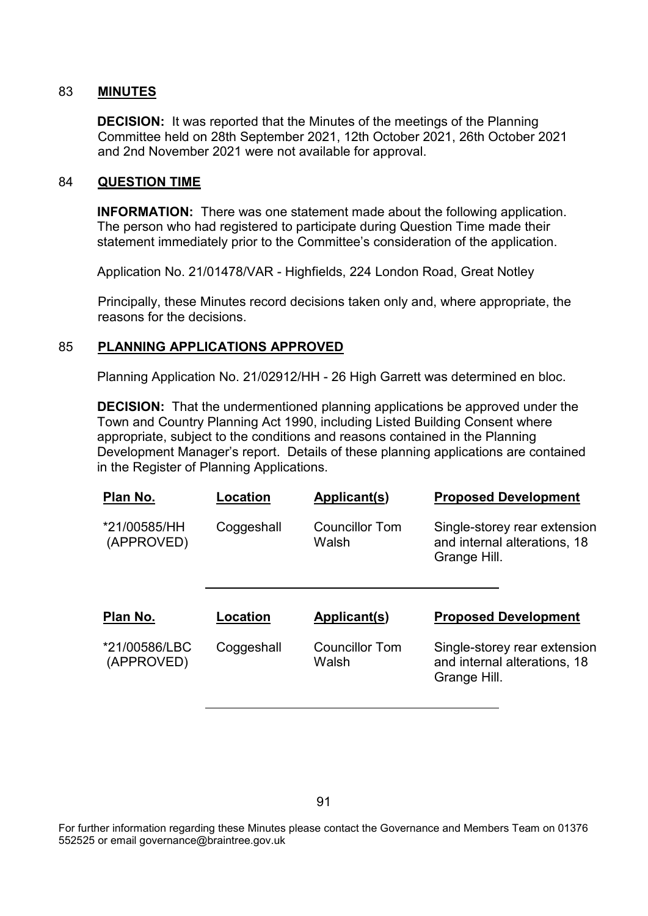### 83 **MINUTES**

**DECISION:** It was reported that the Minutes of the meetings of the Planning Committee held on 28th September 2021, 12th October 2021, 26th October 2021 and 2nd November 2021 were not available for approval.

#### 84 **QUESTION TIME**

**INFORMATION:** There was one statement made about the following application. The person who had registered to participate during Question Time made their statement immediately prior to the Committee's consideration of the application.

Application No. 21/01478/VAR - Highfields, 224 London Road, Great Notley

Principally, these Minutes record decisions taken only and, where appropriate, the reasons for the decisions.

### 85 **PLANNING APPLICATIONS APPROVED**

Planning Application No. 21/02912/HH - 26 High Garrett was determined en bloc.

**DECISION:** That the undermentioned planning applications be approved under the Town and Country Planning Act 1990, including Listed Building Consent where appropriate, subject to the conditions and reasons contained in the Planning Development Manager's report. Details of these planning applications are contained in the Register of Planning Applications.

| Location   | Applicant(s)                   | <b>Proposed Development</b>                                                  |
|------------|--------------------------------|------------------------------------------------------------------------------|
| Coggeshall | <b>Councillor Tom</b><br>Walsh | Single-storey rear extension<br>and internal alterations, 18<br>Grange Hill. |
|            |                                |                                                                              |
| Location   | Applicant(s)                   | <b>Proposed Development</b>                                                  |
|            |                                |                                                                              |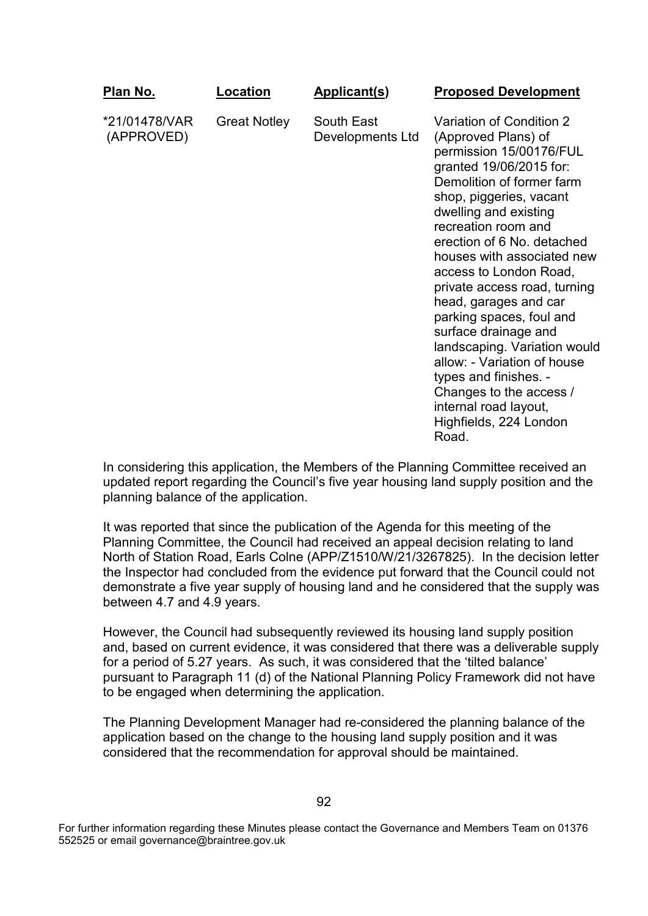| <u>Plan No.</u>             | Location            | <b>Applicant(s)</b>            | <b>Proposed Development</b>                                                                                                                                                                                                                                                                                                                                                                                                                                                                                                                                                                    |
|-----------------------------|---------------------|--------------------------------|------------------------------------------------------------------------------------------------------------------------------------------------------------------------------------------------------------------------------------------------------------------------------------------------------------------------------------------------------------------------------------------------------------------------------------------------------------------------------------------------------------------------------------------------------------------------------------------------|
| *21/01478/VAR<br>(APPROVED) | <b>Great Notley</b> | South East<br>Developments Ltd | Variation of Condition 2<br>(Approved Plans) of<br>permission 15/00176/FUL<br>granted 19/06/2015 for:<br>Demolition of former farm<br>shop, piggeries, vacant<br>dwelling and existing<br>recreation room and<br>erection of 6 No. detached<br>houses with associated new<br>access to London Road,<br>private access road, turning<br>head, garages and car<br>parking spaces, foul and<br>surface drainage and<br>landscaping. Variation would<br>allow: - Variation of house<br>types and finishes. -<br>Changes to the access /<br>internal road layout,<br>Highfields, 224 London<br>Road |

In considering this application, the Members of the Planning Committee received an updated report regarding the Council's five year housing land supply position and the planning balance of the application.

It was reported that since the publication of the Agenda for this meeting of the Planning Committee, the Council had received an appeal decision relating to land North of Station Road, Earls Colne (APP/Z1510/W/21/3267825). In the decision letter the Inspector had concluded from the evidence put forward that the Council could not demonstrate a five year supply of housing land and he considered that the supply was between 4.7 and 4.9 years.

However, the Council had subsequently reviewed its housing land supply position and, based on current evidence, it was considered that there was a deliverable supply for a period of 5.27 years. As such, it was considered that the 'tilted balance' pursuant to Paragraph 11 (d) of the National Planning Policy Framework did not have to be engaged when determining the application.

The Planning Development Manager had re-considered the planning balance of the application based on the change to the housing land supply position and it was considered that the recommendation for approval should be maintained.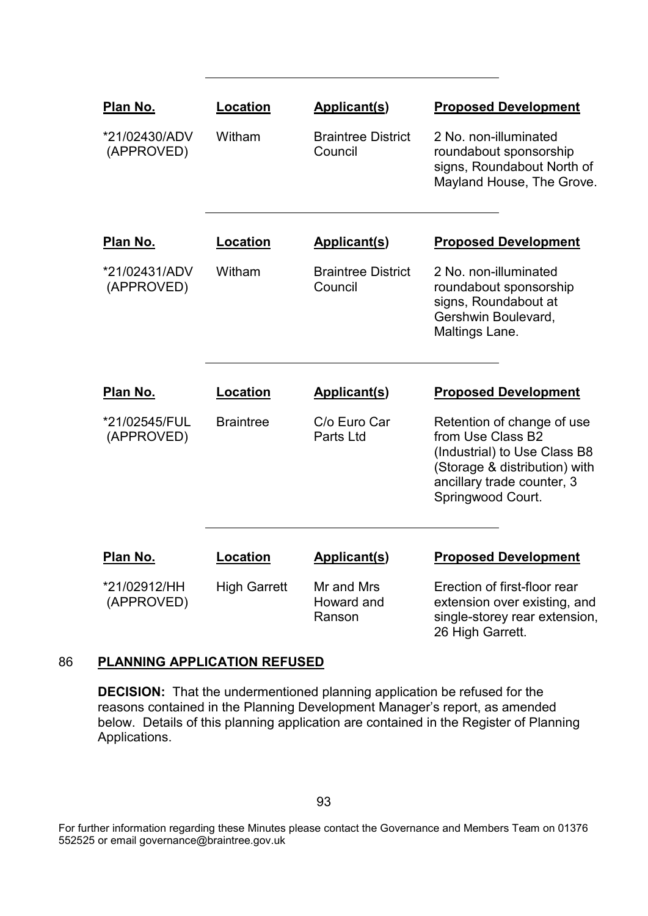| Plan No.                    | <b>Location</b>     | <b>Applicant(s)</b>                  | <b>Proposed Development</b>                                                                                                                                         |
|-----------------------------|---------------------|--------------------------------------|---------------------------------------------------------------------------------------------------------------------------------------------------------------------|
| *21/02430/ADV<br>(APPROVED) | Witham              | <b>Braintree District</b><br>Council | 2 No. non-illuminated<br>roundabout sponsorship<br>signs, Roundabout North of<br>Mayland House, The Grove.                                                          |
| Plan No.                    | Location            | <b>Applicant(s)</b>                  | <b>Proposed Development</b>                                                                                                                                         |
| *21/02431/ADV<br>(APPROVED) | Witham              | <b>Braintree District</b><br>Council | 2 No. non-illuminated<br>roundabout sponsorship<br>signs, Roundabout at<br>Gershwin Boulevard,<br>Maltings Lane.                                                    |
| <b>Plan No.</b>             | <b>Location</b>     | <b>Applicant(s)</b>                  | <b>Proposed Development</b>                                                                                                                                         |
| *21/02545/FUL<br>(APPROVED) | <b>Braintree</b>    | C/o Euro Car<br>Parts Ltd            | Retention of change of use<br>from Use Class B2<br>(Industrial) to Use Class B8<br>(Storage & distribution) with<br>ancillary trade counter, 3<br>Springwood Court. |
| Plan No.                    | <b>Location</b>     | <b>Applicant(s)</b>                  | <b>Proposed Development</b>                                                                                                                                         |
| *21/02912/HH<br>(APPROVED)  | <b>High Garrett</b> | Mr and Mrs<br>Howard and<br>Ranson   | Erection of first-floor rear<br>extension over existing, and<br>single-storey rear extension,<br>26 High Garrett.                                                   |

## 86 **PLANNING APPLICATION REFUSED**

**DECISION:** That the undermentioned planning application be refused for the reasons contained in the Planning Development Manager's report, as amended below. Details of this planning application are contained in the Register of Planning Applications.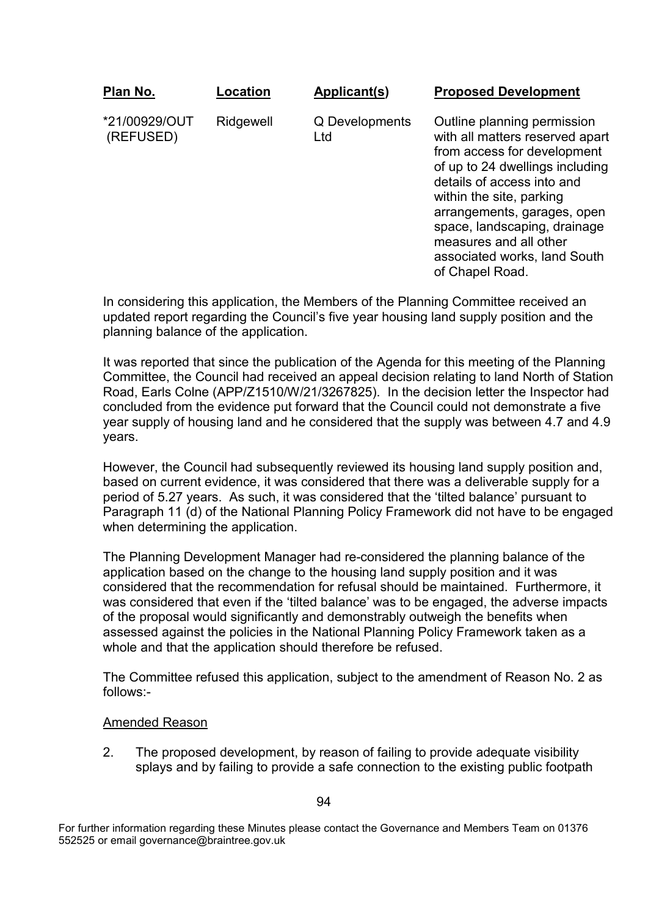| Plan No.                   | Location  | Applicant(s)          | <b>Proposed Development</b>                                                                                                                                                                                                                                                                                                            |
|----------------------------|-----------|-----------------------|----------------------------------------------------------------------------------------------------------------------------------------------------------------------------------------------------------------------------------------------------------------------------------------------------------------------------------------|
| *21/00929/OUT<br>(REFUSED) | Ridgewell | Q Developments<br>Ltd | Outline planning permission<br>with all matters reserved apart<br>from access for development<br>of up to 24 dwellings including<br>details of access into and<br>within the site, parking<br>arrangements, garages, open<br>space, landscaping, drainage<br>measures and all other<br>associated works, land South<br>of Chapel Road. |

In considering this application, the Members of the Planning Committee received an updated report regarding the Council's five year housing land supply position and the planning balance of the application.

It was reported that since the publication of the Agenda for this meeting of the Planning Committee, the Council had received an appeal decision relating to land North of Station Road, Earls Colne (APP/Z1510/W/21/3267825). In the decision letter the Inspector had concluded from the evidence put forward that the Council could not demonstrate a five year supply of housing land and he considered that the supply was between 4.7 and 4.9 years.

However, the Council had subsequently reviewed its housing land supply position and, based on current evidence, it was considered that there was a deliverable supply for a period of 5.27 years. As such, it was considered that the 'tilted balance' pursuant to Paragraph 11 (d) of the National Planning Policy Framework did not have to be engaged when determining the application.

The Planning Development Manager had re-considered the planning balance of the application based on the change to the housing land supply position and it was considered that the recommendation for refusal should be maintained. Furthermore, it was considered that even if the 'tilted balance' was to be engaged, the adverse impacts of the proposal would significantly and demonstrably outweigh the benefits when assessed against the policies in the National Planning Policy Framework taken as a whole and that the application should therefore be refused.

The Committee refused this application, subject to the amendment of Reason No. 2 as follows:-

#### Amended Reason

2. The proposed development, by reason of failing to provide adequate visibility splays and by failing to provide a safe connection to the existing public footpath